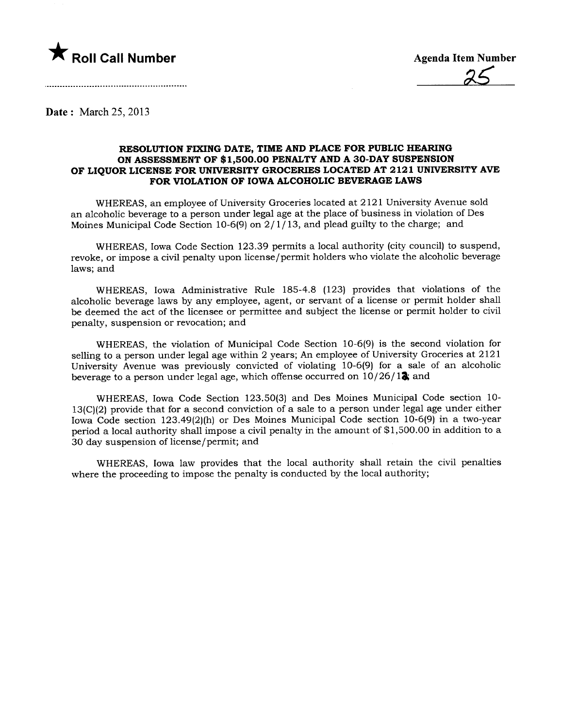

Date: March 25,2013

## REOLUTION FIXNG DATE, TIME AND PLACE FOR PUBLIC HEARING ON ASSESSMENT OF \$1,500.00 PENALTY AND A 30-DAY SUSPENSION OF LIQUOR LICENSE FOR UNIVERSITY GROCERIES LOCATED AT 2121 UNIVERSITY AVE FOR VIOLATION OF IOWA ALCOHOLIC BEVERAGE LAWS

WHEREAS, an employee of University Groceries located at 2121 University Avenue sold an alcoholic beverage to a person under legal age at the place of business in violation of Des Moines Municipal Code Section 10-6(9) on  $2/1/13$ , and plead guilty to the charge; and

WHEREAS, Iowa Code Section 123.39 permits a local authority (city council) to suspend, revoke, or impose a civil penalty upon license/permit holders who violate the alcoholic beverage laws; and

WHEREAS, Iowa Administrative Rule 185-4.8 (123) provides that violations of the alcoholic beverage laws by any employee, agent, or servant of a license or permit holder shall be deemed the act of the licensee or permittee and subject the license or permit holder to civil penalty, suspension or revocation; and

WHEREAS, the violation of Municipal Code Section 10-6(9) is the second violation for selling to a person under legal age within 2 years; An employee of University Groceries at 2121 University Avenue was previously convicted of violating 10-6(9) for a sale of an alcoholic beverage to a person under legal age, which offense occurred on  $10/26/12$ ; and

WHEREAS, Iowa Code Section 123.50(3) and Des Moines Municipal Code section 10- 13(C)(2) provide that for a second conviction of a sale to a person under legal age under either Iowa Code section 123.49(2)(h) or Des Moines Municipal Code section 10-6(9) in a two-year period a local authority shall impose a civil penalty in the amount of \$1,500.00 in addition to a 30 day suspension of license/permit; and

WHEREAS, Iowa law provides that the local authority shall retain the civil penalties where the proceeding to impose the penalty is conducted by the local authority;